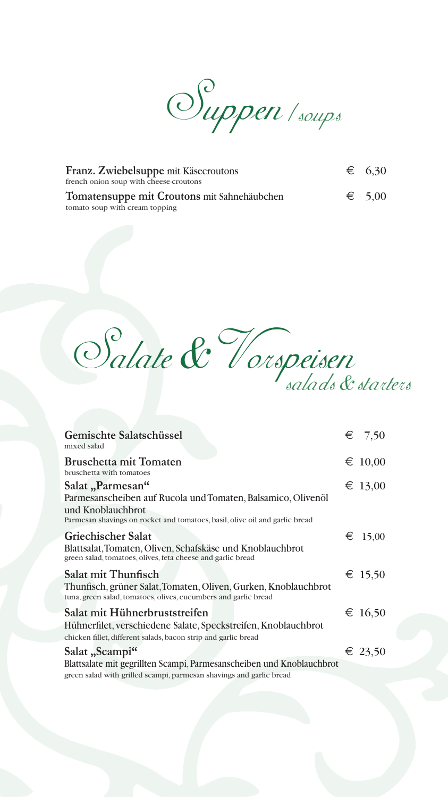Suppen /soups

| Franz. Zwiebelsuppe mit Käsecroutons        | $\epsilon$ 6.30 |
|---------------------------------------------|-----------------|
| french onion soup with cheese-croutons      |                 |
| Tomatensuppe mit Croutons mit Sahnehäubchen | $\epsilon$ 5.00 |
| tomato soup with cream topping              |                 |



| Gemischte Salatschüssel<br>mixed salad                                                                                                                                               | $\epsilon$ 7,50 |
|--------------------------------------------------------------------------------------------------------------------------------------------------------------------------------------|-----------------|
| <b>Bruschetta mit Tomaten</b><br>bruschetta with tomatoes                                                                                                                            | $\in 10,00$     |
| Salat "Parmesan"<br>Parmesanscheiben auf Rucola und Tomaten, Balsamico, Olivenöl<br>und Knoblauchbrot<br>Parmesan shavings on rocket and tomatoes, basil, olive oil and garlic bread | € 13,00         |
| <b>Griechischer Salat</b><br>Blattsalat, Tomaten, Oliven, Schafskäse und Knoblauchbrot<br>green salad, tomatoes, olives, feta cheese and garlic bread                                | € 15,00         |
| Salat mit Thunfisch<br>Thunfisch, grüner Salat, Tomaten, Oliven, Gurken, Knoblauchbrot<br>tuna, green salad, tomatoes, olives, cucumbers and garlic bread                            | € 15,50         |
| Salat mit Hühnerbruststreifen<br>Hühnerfilet, verschiedene Salate, Speckstreifen, Knoblauchbrot<br>chicken fillet, different salads, bacon strip and garlic bread                    | € 16,50         |
| Salat "Scampi"<br>Blattsalate mit gegrillten Scampi, Parmesanscheiben und Knoblauchbrot                                                                                              | € 23,50         |
| green salad with grilled scampi, parmesan shavings and garlic bread                                                                                                                  |                 |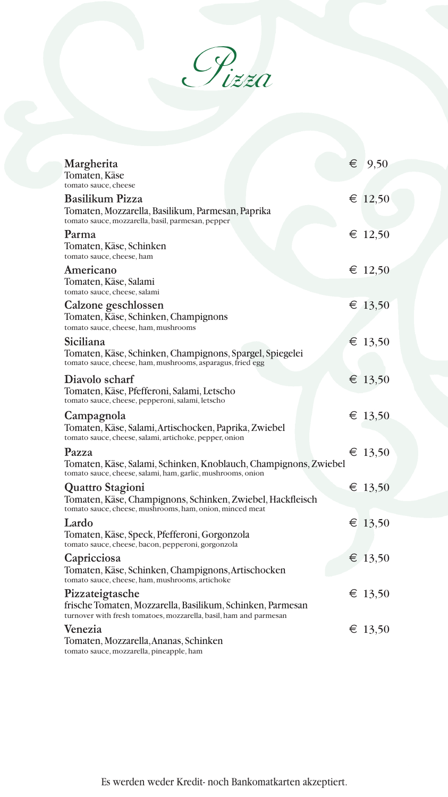Pizza

| Margherita<br>Tomaten, Käse                                                                                                                        | $\epsilon$ 9,50 |
|----------------------------------------------------------------------------------------------------------------------------------------------------|-----------------|
| tomato sauce, cheese                                                                                                                               |                 |
| <b>Basilikum Pizza</b><br>Tomaten, Mozzarella, Basilikum, Parmesan, Paprika<br>tomato sauce, mozzarella, basil, parmesan, pepper                   | € 12,50         |
| Parma<br>Tomaten, Käse, Schinken<br>tomato sauce, cheese, ham                                                                                      | € 12,50         |
| Americano<br>Tomaten, Käse, Salami<br>tomato sauce, cheese, salami                                                                                 | € 12,50         |
| Calzone geschlossen<br>Tomaten, Käse, Schinken, Champignons<br>tomato sauce, cheese, ham, mushrooms                                                | € 13,50         |
| Siciliana<br>Tomaten, Käse, Schinken, Champignons, Spargel, Spiegelei<br>tomato sauce, cheese, ham, mushrooms, asparagus, fried egg                | € 13,50         |
| Diavolo scharf<br>Tomaten, Käse, Pfefferoni, Salami, Letscho<br>tomato sauce, cheese, pepperoni, salami, letscho                                   | € 13,50         |
| Campagnola<br>Tomaten, Käse, Salami, Artischocken, Paprika, Zwiebel<br>tomato sauce, cheese, salami, artichoke, pepper, onion                      | € 13,50         |
| Pazza<br>Tomaten, Käse, Salami, Schinken, Knoblauch, Champignons, Zwiebel<br>tomato sauce, cheese, salami, ham, garlic, mushrooms, onion           | € 13,50         |
| Quattro Stagioni<br>Tomaten, Käse, Champignons, Schinken, Zwiebel, Hackfleisch<br>tomato sauce, cheese, mushrooms, ham, onion, minced meat         | € 13,50         |
| Lardo<br>Tomaten, Käse, Speck, Pfefferoni, Gorgonzola<br>tomato sauce, cheese, bacon, pepperoni, gorgonzola                                        | € 13,50         |
| Capricciosa<br>Tomaten, Käse, Schinken, Champignons, Artischocken<br>tomato sauce, cheese, ham, mushrooms, artichoke                               | € 13,50         |
| Pizzateigtasche<br>frische Tomaten, Mozzarella, Basilikum, Schinken, Parmesan<br>turnover with fresh tomatoes, mozzarella, basil, ham and parmesan | € 13,50         |
| Venezia<br>Tomaten, Mozzarella, Ananas, Schinken<br>tomato sauce, mozzarella, pineapple, ham                                                       | € 13,50         |

Es werden weder Kredit- noch Bankomatkarten akzeptiert.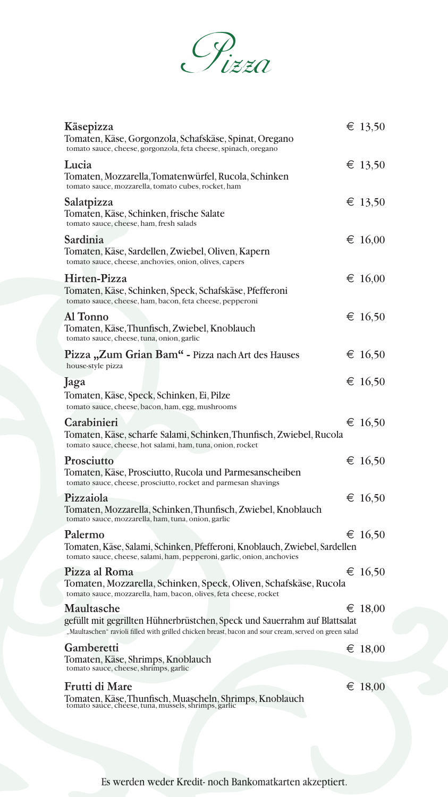

| Käsepizza<br>Tomaten, Käse, Gorgonzola, Schafskäse, Spinat, Oregano<br>tomato sauce, cheese, gorgonzola, feta cheese, spinach, oregano                                                            | € 13,50          |
|---------------------------------------------------------------------------------------------------------------------------------------------------------------------------------------------------|------------------|
| Lucia<br>Tomaten, Mozzarella, Tomatenwürfel, Rucola, Schinken<br>tomato sauce, mozzarella, tomato cubes, rocket, ham                                                                              | € 13,50          |
| Salatpizza<br>Tomaten, Käse, Schinken, frische Salate<br>tomato sauce, cheese, ham, fresh salads                                                                                                  | € 13,50          |
| Sardinia<br>Tomaten, Käse, Sardellen, Zwiebel, Oliven, Kapern<br>tomato sauce, cheese, anchovies, onion, olives, capers                                                                           | € 16,00          |
| Hirten-Pizza<br>Tomaten, Käse, Schinken, Speck, Schafskäse, Pfefferoni<br>tomato sauce, cheese, ham, bacon, feta cheese, pepperoni                                                                | € 16,00          |
| Al Tonno<br>Tomaten, Käse, Thunfisch, Zwiebel, Knoblauch<br>tomato sauce, cheese, tuna, onion, garlic                                                                                             | € 16,50          |
| Pizza "Zum Grian Bam" - Pizza nach Art des Hauses<br>house-style pizza                                                                                                                            | € 16,50          |
| Jaga<br>Tomaten, Käse, Speck, Schinken, Ei, Pilze<br>tomato sauce, cheese, bacon, ham, egg, mushrooms                                                                                             | € 16,50          |
| Carabinieri<br>Tomaten, Käse, scharfe Salami, Schinken, Thunfisch, Zwiebel, Rucola<br>tomato sauce, cheese, hot salami, ham, tuna, onion, rocket                                                  | € 16,50          |
| Prosciutto<br>Tomaten, Käse, Prosciutto, Rucola und Parmesanscheiben<br>tomato sauce, cheese, prosciutto, rocket and parmesan shavings                                                            | € 16,50          |
| Pizzaiola<br>Tomaten, Mozzarella, Schinken, Thunfisch, Zwiebel, Knoblauch<br>tomato sauce, mozzarella, ham, tuna, onion, garlic                                                                   | € 16,50          |
| Palermo<br>Tomaten, Käse, Salami, Schinken, Pfefferoni, Knoblauch, Zwiebel, Sardellen<br>tomato sauce, cheese, salami, ham, pepperoni, garlic, onion, anchovies                                   | € 16,50          |
| Pizza al Roma<br>Tomaten, Mozzarella, Schinken, Speck, Oliven, Schafskäse, Rucola<br>tomato sauce, mozzarella, ham, bacon, olives, feta cheese, rocket                                            | € 16,50          |
| Maultasche<br>gefüllt mit gegrillten Hühnerbrüstchen, Speck und Sauerrahm auf Blattsalat<br>"Maultaschen" ravioli filled with grilled chicken breast, bacon and sour cream, served on green salad | € 18,00          |
| Gamberetti<br>Tomaten, Käse, Shrimps, Knoblauch<br>tomato sauce, cheese, shrimps, garlic                                                                                                          | € 18,00          |
| Frutti di Mare<br>Tomaten, Käse, Thunfisch, Muascheln, Shrimps, Knoblauch<br>tomato sauce, cheese, tuna, mussels, shrimps, garlic                                                                 | $\epsilon$ 18,00 |
|                                                                                                                                                                                                   |                  |

Es werden weder Kredit- noch Bankomatkarten akzeptiert.